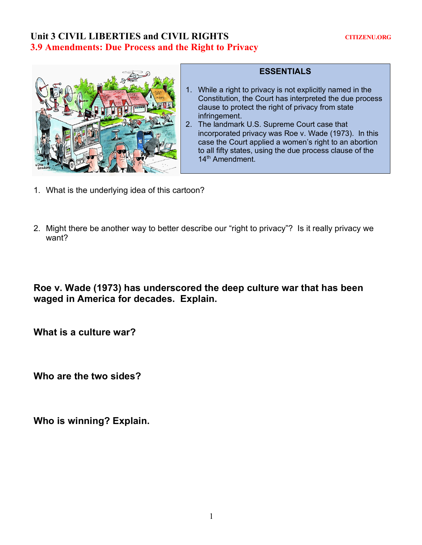## Unit 3 CIVIL LIBERTIES and CIVIL RIGHTS CITIZENU.ORG **3.9 Amendments: Due Process and the Right to Privacy**



## **ESSENTIALS**

- 1. While a right to privacy is not explicitly named in the Constitution, the Court has interpreted the due process clause to protect the right of privacy from state infringement.
- 2. The landmark U.S. Supreme Court case that incorporated privacy was Roe v. Wade (1973). In this case the Court applied a women's right to an abortion to all fifty states, using the due process clause of the 14<sup>th</sup> Amendment.
- 1. What is the underlying idea of this cartoon?
- 2. Might there be another way to better describe our "right to privacy"? Is it really privacy we want?

**Roe v. Wade (1973) has underscored the deep culture war that has been waged in America for decades. Explain.** 

**What is a culture war?** 

**Who are the two sides?** 

**Who is winning? Explain.**